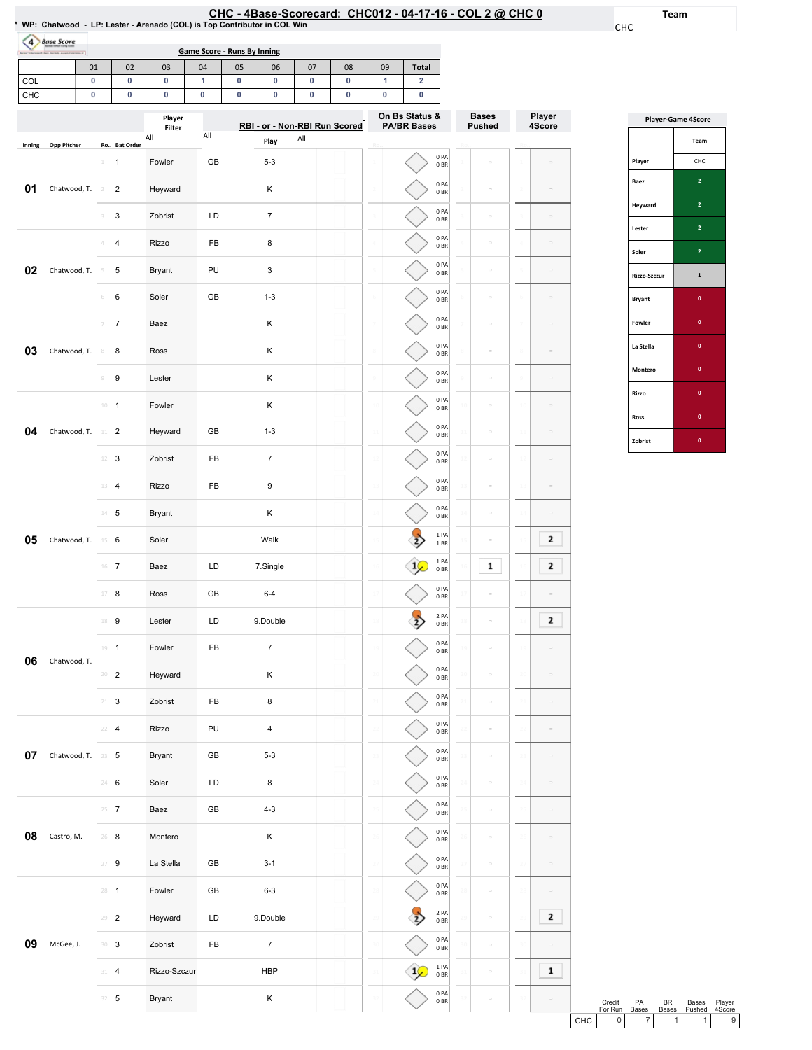| :HC - 4Base-Scorecard: CHC012 - 04-17-16 - COL 2 @ CHC ( |  |  |  |  |
|----------------------------------------------------------|--|--|--|--|
|----------------------------------------------------------|--|--|--|--|

29

2PA 0BR

29

 $\sim$ 

 $\sim$ 

 $\sim$ 

 $\overline{\phantom{a}}$ 

29

 $\boxed{2}$ 

 $\sim$ 

 $\boxed{1}$ 

 $\sim$ 

30

31 32

30

31 32

0PA 0BR

 $\begin{array}{c} 1 \ \text{PA} \ 0 \ \text{BR} \end{array}$ 0PA 0BR

30

 $\bigtriangledown$ 

 $\lt$ 

31 32 Team

CHC

Player 4Score

 $\sim$ 

 $\sim$ 

 $\sim$ 

 $\sim$ 

 $\sim$ 

 $\boxed{2}$  $\boxed{2}$ 

 $\boxed{2}$ 

 $\sim$ 

 $\sim$   $\sigma$  $\sim$ 

| $\overline{a}$ | <b>Base Score</b>  |    |                         |           |                  | <b>Game Score - Runs By Inning</b> |    |                               |     |           |    |                                      |                         |                               |    |                  |
|----------------|--------------------|----|-------------------------|-----------|------------------|------------------------------------|----|-------------------------------|-----|-----------|----|--------------------------------------|-------------------------|-------------------------------|----|------------------|
|                |                    | 01 |                         | 02        | 03               | 04                                 | 05 | 06                            | 07  | 08        | 09 | <b>Total</b>                         |                         |                               |    |                  |
| COL            |                    | 0  |                         | $\pmb{0}$ | 0                | $\mathbf{1}$                       | 0  | 0                             | 0   | $\pmb{0}$ | 1  | $\overline{\mathbf{2}}$              |                         |                               |    |                  |
| CHC            |                    | 0  |                         | 0         | 0                | 0                                  | 0  | 0                             | 0   | 0         | 0  | 0                                    |                         |                               |    |                  |
|                |                    |    |                         |           | Player<br>Filter |                                    |    | RBI - or - Non-RBI Run Scored |     |           |    | On Bs Status &<br><b>PA/BR Bases</b> |                         | <b>Bases</b><br><b>Pushed</b> |    | Player<br>4Score |
| Inning         | <b>Opp Pitcher</b> |    | Ro Bat Order            |           | All              | All                                |    | Play                          | All |           |    |                                      |                         |                               |    |                  |
|                |                    |    | $\mathbf{1}$            |           | Fowler           | GB                                 |    | $5 - 3$                       |     |           |    |                                      | 0PA<br>0BR              |                               |    |                  |
| 01             | Chatwood, T.       |    | $\overline{2}$<br>2     |           | Heyward          |                                    |    | κ                             |     |           |    |                                      | 0PA<br>0BR              | $\bar{a}$                     |    |                  |
|                |                    |    | 3<br>3                  |           | Zobrist          | LD                                 |    | $\overline{7}$                |     |           |    |                                      | 0PA<br>0BR              | $\equiv$                      |    |                  |
|                |                    |    | $\overline{\mathbf{4}}$ |           | <b>Rizzo</b>     | FB                                 |    | 8                             |     |           |    |                                      | 0 PA<br>0BR             | $\equiv$                      |    |                  |
| 02             | Chatwood, T.       |    | 5<br>-5                 |           | <b>Bryant</b>    | PU                                 |    | 3                             |     |           |    |                                      | 0PA<br>0BR              | $\equiv$                      |    |                  |
|                |                    |    | 6<br>6                  |           | Soler            | GB                                 |    | $1 - 3$                       |     |           |    |                                      | 0 PA<br>0BR             | $\equiv$                      |    |                  |
|                |                    |    | $\overline{7}$<br>7     |           | Baez             |                                    |    | Κ                             |     |           |    |                                      | 0PA<br>0BR              | $\equiv$                      |    |                  |
| 03             | Chatwood, T.       |    | 8<br>8                  |           | Ross             |                                    |    | Κ                             |     |           |    |                                      | 0 PA<br>0BR             | $\equiv$                      |    |                  |
|                |                    |    | 9<br>$\circ$            |           | Lester           |                                    |    | Κ                             |     |           |    |                                      | 0 PA<br>0BR             | $\equiv$                      |    |                  |
|                |                    |    | $10 - 1$                |           | Fowler           |                                    |    | Κ                             |     |           | 10 |                                      | 0PA<br>0BR              | $\equiv$                      |    |                  |
| 04             | Chatwood, T. 11 2  |    |                         |           | Heyward          | GB                                 |    | $1 - 3$                       |     |           | 11 |                                      | 0 PA<br>0BR             |                               |    |                  |
|                |                    |    | $12 \t3$                |           | Zobrist          | FB                                 |    | $\overline{7}$                |     |           |    |                                      | 0PA<br>0BR              | $\equiv$                      |    |                  |
|                |                    |    | 13 4                    |           | Rizzo            | FB                                 |    | 9                             |     |           | 1ó |                                      | 0 PA<br>0BR             |                               |    |                  |
|                |                    |    | $14 - 5$                |           | <b>Bryant</b>    |                                    |    | Κ                             |     |           |    |                                      | 0 PA<br>0BR             | $\equiv$                      |    |                  |
| 05             | Chatwood, T.       |    | 15 6                    |           | Soler            |                                    |    | Walk                          |     |           |    |                                      | 1 PA<br>1 BR            | $\equiv$                      |    | 2                |
|                |                    |    | $16$ 7                  |           | Baez             | LD                                 |    | 7.Single                      |     |           |    |                                      | 1PA<br>0BR              | 1                             |    | 2                |
|                |                    |    | $17 - 8$                |           | Ross             | GB                                 |    | $6 - 4$                       |     |           |    |                                      | 0 PA<br>0B              |                               |    |                  |
|                |                    |    | 18 9                    |           | Lester           | LD                                 |    | 9.Double                      |     |           | 18 |                                      | 2 PA<br>0B              | $\overline{a}$                |    | $\mathbf{2}$     |
|                |                    |    | $19 - 1$                |           | Fowler           | FB                                 |    | $\overline{7}$                |     |           | 19 |                                      | 0PA<br>0B               | $\equiv$                      |    |                  |
| 06             | Chatwood, T.       |    | $20 - 2$                |           | Heyward          |                                    |    | κ                             |     |           | 20 |                                      | 0PA<br>0B               | $\equiv$                      |    | $\equiv$         |
|                |                    |    | $21 - 3$                |           | Zobrist          | FB                                 |    | 8                             |     |           | 21 |                                      | 0PA<br>0B               | $\equiv$                      |    |                  |
|                |                    |    | $22 - 4$                |           | Rizzo            | PU                                 |    | 4                             |     |           | 22 |                                      | 0PA<br>0B               | $\equiv$                      |    | $\equiv$         |
| 07             | Chatwood, T. 23 5  |    |                         |           | Bryant           | GB                                 |    | $5 - 3$                       |     |           | 23 |                                      | 0PA<br>0B               | $\equiv$                      |    |                  |
|                |                    |    | 24 6                    |           | Soler            | LD                                 |    | 8                             |     |           | 24 |                                      | 0PA<br>0BR              | $\equiv$                      |    |                  |
|                |                    |    | $25 \t{7}$              |           | Baez             | GB                                 |    | $4 - 3$                       |     |           | 25 |                                      | 0PA<br>0B               | $\equiv$                      |    |                  |
| 08             | Castro, M.         |    | $26$ 8                  |           | Montero          |                                    |    | Κ                             |     |           | 26 |                                      | 0PA<br>0B               | $\equiv$                      |    |                  |
|                |                    |    | $27 - 9$                |           | La Stella        | GB                                 |    | $3 - 1$                       |     |           | 27 |                                      | 0 PA<br>0BR             | $\equiv$                      |    |                  |
|                |                    |    | $28 - 1$                |           | Fowler           | GB                                 |    | $6 - 3$                       |     |           | 28 |                                      | 0PA<br>$0\;\mathrm{BR}$ | $\equiv$                      | 28 | $\equiv$         |

**09** McGee, J.

29 2 Heyward LD 9.Double

30 3 Zobrist FB 7 31 4 Rizzo-Szczur HBP

32 5 Bryant K

| <b>Player-Game 4Score</b> |                |  |  |  |  |  |  |  |
|---------------------------|----------------|--|--|--|--|--|--|--|
|                           | Team           |  |  |  |  |  |  |  |
| Player                    | CHC            |  |  |  |  |  |  |  |
| Baez                      | $\overline{2}$ |  |  |  |  |  |  |  |
| Heyward                   | $\overline{a}$ |  |  |  |  |  |  |  |
| Lester                    | $\overline{2}$ |  |  |  |  |  |  |  |
| Soler                     | $\overline{2}$ |  |  |  |  |  |  |  |
| Rizzo-Szczur              | $\mathbf{1}$   |  |  |  |  |  |  |  |
| <b>Bryant</b>             | $\mathbf{0}$   |  |  |  |  |  |  |  |
| <b>Fowler</b>             | $\mathbf{0}$   |  |  |  |  |  |  |  |
| La Stella                 | $\mathbf{0}$   |  |  |  |  |  |  |  |
| Montero                   | $\mathbf{0}$   |  |  |  |  |  |  |  |
| Rizzo                     | $\mathbf{0}$   |  |  |  |  |  |  |  |
| Ross                      | $\mathbf{0}$   |  |  |  |  |  |  |  |
| Zobrist                   | $\bf{0}$       |  |  |  |  |  |  |  |

Credit PA BR Bases Player<br>
For Run Bases Bases Pushed 4Score<br>
CHC 0 7 1 1 9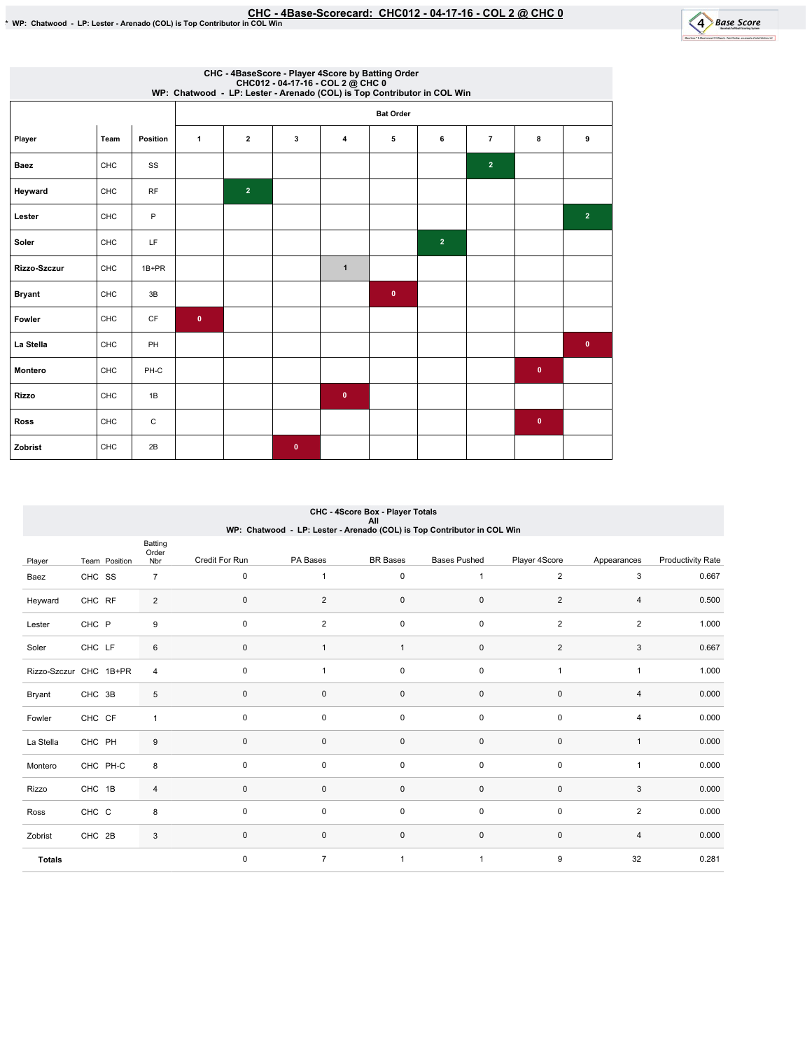

| CHC - 4BaseScore - Player 4Score by Batting Order<br>CHC012 - 04-17-16 - COL 2 @ CHC 0<br>WP: Chatwood - LP: Lester - Arenado (COL) is Top Contributor in COL Win |      |           |              |                  |              |                |              |                |                |           |                |  |  |
|-------------------------------------------------------------------------------------------------------------------------------------------------------------------|------|-----------|--------------|------------------|--------------|----------------|--------------|----------------|----------------|-----------|----------------|--|--|
|                                                                                                                                                                   |      |           |              | <b>Bat Order</b> |              |                |              |                |                |           |                |  |  |
| Player                                                                                                                                                            | Team | Position  | $\mathbf{1}$ | $\overline{2}$   | 3            | $\overline{4}$ | 5            | 6              | $\overline{7}$ | 8         | 9              |  |  |
| <b>Baez</b>                                                                                                                                                       | CHC  | SS        |              |                  |              |                |              |                | $\overline{2}$ |           |                |  |  |
| Heyward                                                                                                                                                           | CHC  | <b>RF</b> |              | $\overline{2}$   |              |                |              |                |                |           |                |  |  |
| Lester                                                                                                                                                            | CHC  | P         |              |                  |              |                |              |                |                |           | $\overline{2}$ |  |  |
| Soler                                                                                                                                                             | CHC  | LF        |              |                  |              |                |              | $\overline{2}$ |                |           |                |  |  |
| Rizzo-Szczur                                                                                                                                                      | CHC  | $1B+PR$   |              |                  |              | $\mathbf{1}$   |              |                |                |           |                |  |  |
| <b>Bryant</b>                                                                                                                                                     | CHC  | 3B        |              |                  |              |                | $\mathbf{0}$ |                |                |           |                |  |  |
| Fowler                                                                                                                                                            | CHC  | CF        | $\bullet$    |                  |              |                |              |                |                |           |                |  |  |
| La Stella                                                                                                                                                         | CHC  | PH        |              |                  |              |                |              |                |                |           | $\bullet$      |  |  |
| Montero                                                                                                                                                           | CHC  | PH-C      |              |                  |              |                |              |                |                | $\bullet$ |                |  |  |
| <b>Rizzo</b>                                                                                                                                                      | CHC  | 1B        |              |                  |              | $\bullet$      |              |                |                |           |                |  |  |
| <b>Ross</b>                                                                                                                                                       | CHC  | C         |              |                  |              |                |              |                |                | $\bullet$ |                |  |  |
| Zobrist                                                                                                                                                           | CHC  | 2B        |              |                  | $\mathbf{0}$ |                |              |                |                |           |                |  |  |

## CHC - 4Score Box - Player Totals All WP:Chatwood-LP:Lester-Arenado(COL)isTopContributorinCOLWin

|               |                        | Batting<br>Order |                |                |                     |                     |                |                |                          |
|---------------|------------------------|------------------|----------------|----------------|---------------------|---------------------|----------------|----------------|--------------------------|
| Player        | Team Position          | Nbr              | Credit For Run | PA Bases       | <b>BR</b> Bases     | <b>Bases Pushed</b> | Player 4Score  | Appearances    | <b>Productivity Rate</b> |
| Baez          | CHC SS                 | $\overline{7}$   | $\mathbf 0$    |                | $\mathbf 0$         | $\overline{1}$      | $\overline{2}$ | 3              | 0.667                    |
| Heyward       | CHC RF                 | $\overline{2}$   | $\mathbf 0$    | $\overline{2}$ | $\mathsf 0$         | $\mathsf 0$         | $\overline{2}$ | $\overline{4}$ | 0.500                    |
| Lester        | CHC P                  | 9                | $\mathbf 0$    | $\overline{2}$ | $\mathbf 0$         | $\mathsf 0$         | $\overline{2}$ | $\overline{2}$ | 1.000                    |
| Soler         | CHC LF                 | 6                | $\mathbf 0$    |                | $\mathbf{1}$        | $\mathsf 0$         | $\overline{2}$ | 3              | 0.667                    |
|               | Rizzo-Szczur CHC 1B+PR | $\overline{4}$   | 0              | 1              | $\pmb{0}$           | $\mathsf 0$         | $\overline{1}$ | $\mathbf{1}$   | 1.000                    |
| Bryant        | CHC 3B                 | 5                | $\mathbf{0}$   | 0              | $\mathsf{O}\xspace$ | $\mathsf{O}\xspace$ | $\mathbf 0$    | $\overline{4}$ | 0.000                    |
| Fowler        | CHC CF                 | $\mathbf{1}$     | $\mathbf 0$    | $\mathbf 0$    | $\mathbf 0$         | $\mathsf 0$         | $\mathbf 0$    | 4              | 0.000                    |
| La Stella     | CHC PH                 | 9                | $\mathbf{0}$   | $\mathbf 0$    | $\mathsf 0$         | $\mathsf 0$         | $\mathbf 0$    | $\mathbf{1}$   | 0.000                    |
| Montero       | CHC PH-C               | 8                | $\mathbf 0$    | $\pmb{0}$      | $\mathsf{O}\xspace$ | $\pmb{0}$           | $\pmb{0}$      | 1              | 0.000                    |
| Rizzo         | CHC 1B                 | $\overline{4}$   | $\mathbf{0}$   | $\mathbf 0$    | $\mathsf{O}\xspace$ | $\mathsf 0$         | $\pmb{0}$      | 3              | 0.000                    |
| Ross          | CHC C                  | 8                | $\mathbf 0$    | $\mathsf 0$    | $\mathbf 0$         | $\mathsf 0$         | $\mathsf 0$    | $\overline{2}$ | 0.000                    |
| Zobrist       | CHC 2B                 | 3                | $\mathbf{0}$   | $\mathbf 0$    | $\mathsf{O}\xspace$ | $\mathsf 0$         | $\pmb{0}$      | 4              | 0.000                    |
| <b>Totals</b> |                        |                  | $\mathbf 0$    | $\overline{7}$ | $\overline{1}$      | $\overline{1}$      | 9              | 32             | 0.281                    |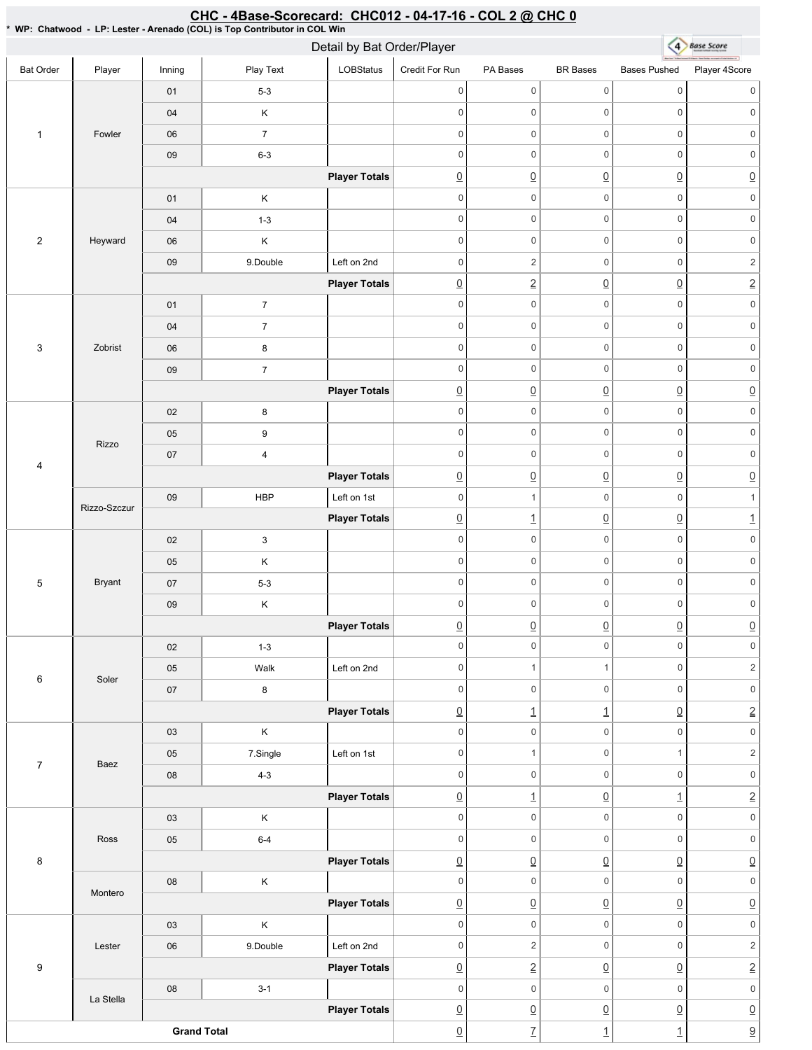#### 4 Base Score Detail by Bat Order/Player Bat Order | Player | Inning | PlayText | LOBStatus Credit For Run PA Bases BR Bases Bases Pushed Player 4Score 01 5-3 0 0 0 0 0 0 0 0 0 0 0 0 04 K 1 Fowler 06 7 0 0 0 0 0 0 09 6-3 0 0 0 0 0 0 **Player Totals**  $\overline{0}$   $\overline{0}$   $\overline{0}$   $\overline{0}$   $\overline{0}$   $\overline{0}$   $\overline{0}$ 01 | K 0 0 0 0 0 0 04 1-3 0 0 0 0 0 0 2 Heyward 06 K 0 0 0 0 0 0 09 9.Double Left on 2nd 0 0 2 0 2 **Player Totals** 0 2 0 0 2 0 0 0 0 0 0 01 7 0 0 0 0 0 0 04 7 3 Zobrist 06 8 0 0 0 0 0 0 0 0 0 0 0 0 09 7 **Player Totals**  $\overline{0}$   $\overline{0}$   $\overline{0}$   $\overline{0}$   $\overline{0}$   $\overline{0}$   $\overline{0}$ 02 8 0 0 0 0 0 0 05 9 0 0 0 0 0 0 Rizzo 07 4 0 0 0 0 0 0 4 **Player Totals** 0 0 0 0 0 09 HBP Left on 1st 0 0 1 0 1 Rizzo-Szczur **Player Totals**  $\boxed{0}$  1  $\boxed{0}$   $\boxed{0}$  1 0 0 0 0 0 0 02 3 0 0 0 0 0 0 05 K 5 Bryant 07 5-3 0 0 0 0 0 0 09 K 0 0 0 0 0 0 **Player Totals**  $\begin{array}{ccc} \boxed{0} & \boxed{0} & \boxed{0} & \boxed{0} & \boxed{0} \end{array}$ 02 1-3 0 0 0 0 0 0 05 | Walk Left on 2nd 0 1 1 0 2 6 Soler 0 0 0 0 0 0 07 8 **Player Totals**  $\boxed{0}$  1  $\boxed{1}$   $\boxed{0}$  2 03 K 0 0 0 0 0 0 05 7.Single Left on 1st 0 1 0 1 2 7 Baez 08 4-3 0 0 0 0 0 0 **Player Totals**  $\boxed{0}$  1  $\boxed{0}$  1  $\boxed{1}$  2 03 K 0 0 0 0 0 0 Ross 05 6-4 0 0 0 0 0 0 8 **Player Totals** 0 0 0 0 0 08 K 0 0 0 0 0 0 Montero **Player Totals**  $\overline{0}$   $\overline{0}$   $\overline{0}$   $\overline{0}$   $\overline{0}$   $\overline{0}$   $\overline{0}$ 03 K 0 0 0 0 0 0 Lester 06 9.Double Left on 2nd 0 0 2 0 2 9 **Player Totals** 0 2 0 0 2 08 3-1 0 0 0 0 0 0 La Stella **Player Totals**  $\overline{0}$   $\overline{0}$   $\overline{0}$   $\overline{0}$   $\overline{0}$   $\overline{0}$   $\overline{0}$ **Grand Total**  $\boxed{0}$  7  $\boxed{1}$  1  $\boxed{1}$  9

## CHC - 4Base-Scorecard: CHC012 - 04-17-16 - COL 2 @ CHC 0

\*WP:Chatwood-LP:Lester-Arenado(COL)isTopContributorinCOLWin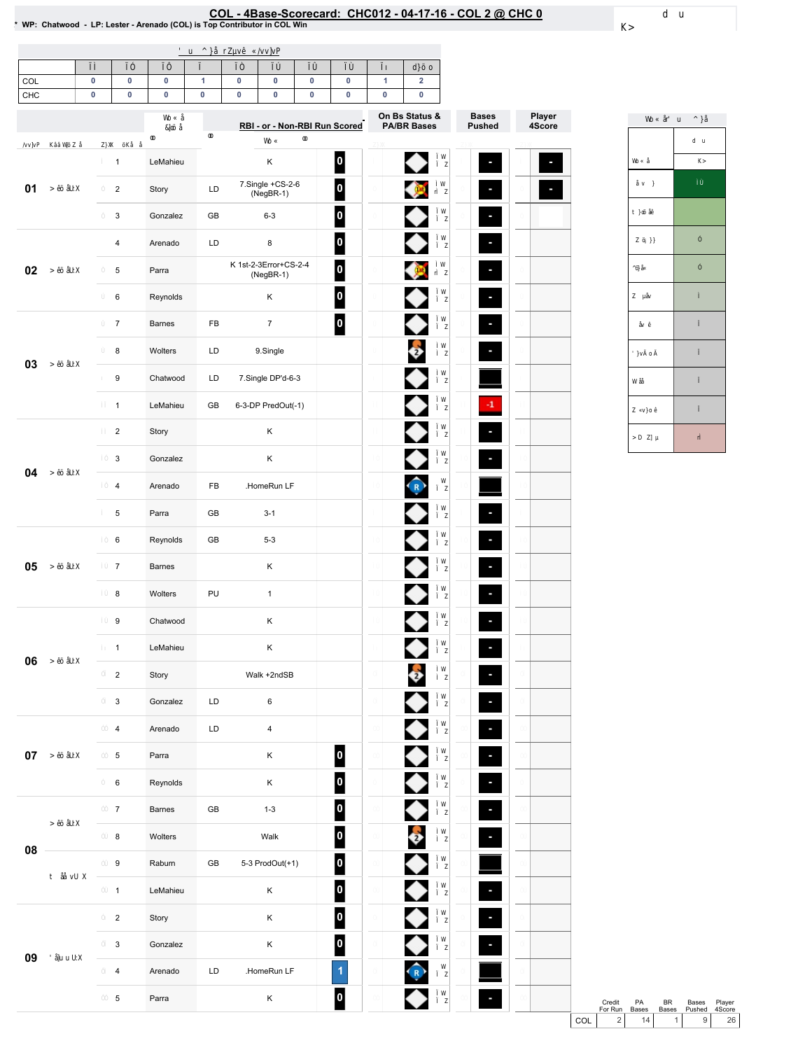# COL-4Base-Scorecard:CHC012-04-17-16-COL2@ CHC0 \*WP:Chatwood-LP:Lester-Arenado(COL)isTopContributorinCOLWin

| COL<br>CHC | $\pmb{0}$<br>$\pmb{0}$ | $\pmb{0}$<br>$\pmb{0}$  | 0<br>$\pmb{0}$ | $\mathbf{1}$<br>0 | 0<br>0 | $\pmb{0}$<br>$\pmb{0}$               | $\pmb{0}$<br>$\pmb{0}$ | $\pmb{0}$<br>$\pmb{0}$        | 1<br>$\pmb{0}$ | $\overline{\mathbf{2}}$<br>$\pmb{0}$ |                               |
|------------|------------------------|-------------------------|----------------|-------------------|--------|--------------------------------------|------------------------|-------------------------------|----------------|--------------------------------------|-------------------------------|
|            |                        |                         |                |                   |        |                                      |                        | RBI - or - Non-RBI Run Scored |                | On Bs Status &<br><b>PA/BR Bases</b> | <b>Bases</b><br><b>Pushed</b> |
|            |                        |                         |                |                   |        |                                      |                        |                               |                |                                      |                               |
|            |                        | $\mathbf{1}$            | LeMahieu       |                   |        | Κ                                    |                        | 0                             |                |                                      |                               |
| 01         |                        | $\overline{c}$          | Story          | LD                |        | 7.Single +CS-2-6<br>$(NegBR-1)$      |                        | $\mathbf{0}$                  |                | <b>DO</b>                            |                               |
|            |                        | 3                       | Gonzalez       | GB                |        | $6 - 3$                              |                        | $\mathbf{0}$                  |                |                                      |                               |
|            |                        | $\overline{4}$          | Arenado        | LD                |        | 8                                    |                        | $\boldsymbol{0}$              |                |                                      |                               |
| 02         |                        | 5                       | Parra          |                   |        | K 1st-2-3Error+CS-2-4<br>$(NegBR-1)$ |                        | $\mathbf{0}$                  |                |                                      |                               |
|            |                        | 6                       | Reynolds       |                   |        | Κ                                    |                        | $\overline{\mathbf{0}}$       |                |                                      | $\overline{\phantom{a}}$      |
|            |                        | $\overline{7}$          | Barnes         | FB                |        | $\overline{7}$                       |                        | 0                             |                |                                      |                               |
|            |                        | 8                       | Wolters        | LD                |        | 9.Single                             |                        |                               |                | $\bullet$                            |                               |
| 03         |                        | 9                       | Chatwood       | LD                |        | 7.Single DP'd-6-3                    |                        |                               |                |                                      |                               |
|            |                        | $\mathbf{1}$            | LeMahieu       | GB                |        | 6-3-DP PredOut(-1)                   |                        |                               |                |                                      | $\cdot$                       |
|            |                        | $\overline{2}$          | Story          |                   |        | Κ                                    |                        |                               |                |                                      |                               |
|            |                        | 3                       | Gonzalez       |                   |        | Κ                                    |                        |                               |                |                                      |                               |
| 04         |                        | $\overline{\mathbf{4}}$ | Arenado        | FB                |        | .HomeRun LF                          |                        |                               |                | <b>R</b>                             |                               |
|            |                        |                         |                |                   |        |                                      |                        |                               |                |                                      |                               |
|            |                        | 5                       | Parra          | GB                |        | $3 - 1$                              |                        |                               |                |                                      |                               |
|            |                        | 6                       | Reynolds       | GB                |        | $5-3$                                |                        |                               |                |                                      |                               |
| 05         |                        | $\boldsymbol{7}$        | Barnes         |                   |        | Κ                                    |                        |                               |                |                                      | F                             |
|            |                        | 8                       | Wolters        | PU                |        | $\mathbf{1}$                         |                        |                               |                |                                      |                               |
|            |                        | 9                       | Chatwood       |                   |        | Κ                                    |                        |                               |                |                                      |                               |
| 06         |                        | $\mathbf{1}$            | LeMahieu       |                   |        | Κ                                    |                        |                               |                |                                      |                               |
|            |                        | $\overline{2}$          | Story          |                   |        | Walk +2ndSB                          |                        |                               |                | $\bullet$                            |                               |
|            |                        | 3                       | Gonzalez       | LD                |        | 6                                    |                        |                               |                |                                      | ÷,                            |
|            |                        | $\overline{\mathbf{4}}$ | Arenado        | LD                |        | $\overline{\mathbf{4}}$              |                        |                               |                |                                      |                               |
| $07\,$     |                        | 5                       | Parra          |                   |        | Κ                                    |                        | 0                             |                |                                      | $\blacksquare$                |
|            |                        | 6                       | Reynolds       |                   |        | Κ                                    |                        | $\mathbf{0}$                  |                |                                      | F                             |
|            |                        | $\overline{7}$          | Barnes         | ${\sf GB}$        |        | $1 - 3$                              |                        | 0                             |                |                                      |                               |
|            |                        | $\bf8$                  | Wolters        |                   |        | Walk                                 |                        | $\mathbf{0}$                  |                | $\clubsuit$                          |                               |
| 08         |                        | 9                       | Raburn         | GB                |        | 5-3 ProdOut(+1)                      |                        | $\mathbf{0}$                  |                |                                      |                               |
|            |                        | $\mathbf{1}$            | LeMahieu       |                   |        | Κ                                    |                        | 0                             |                |                                      |                               |
|            |                        | $\overline{2}$          | Story          |                   |        | Κ                                    |                        | $\mathbf{0}$                  |                |                                      |                               |
|            |                        | 3                       | Gonzalez       |                   |        | Κ                                    |                        | 0                             |                |                                      | F                             |
| 09         |                        | 4                       | Arenado        | LD                |        | .HomeRun LF                          |                        | 1                             |                | $\sqrt{R}$                           |                               |
|            |                        | 5                       | Parra          |                   |        | Κ                                    |                        | 0                             |                |                                      |                               |
|            |                        |                         |                |                   |        |                                      |                        |                               |                |                                      |                               |

Credit PA BR Bases Player<br>
For Run Bases Bases Pushed 4Score<br>
COL 2 14 1 9 26 PA Bases BR  $\frac{\text{Bases}}{1}$ Bases Pushed Player 4Score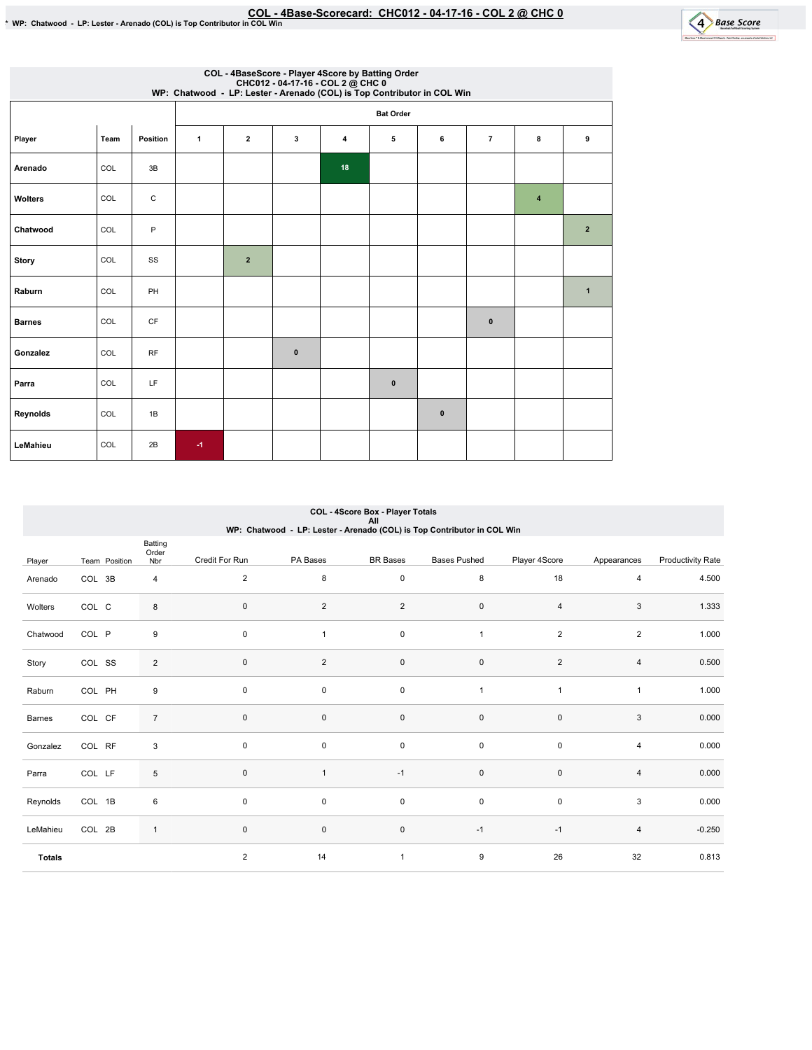

| COL - 4BaseScore - Player 4Score by Batting Order<br>CHC012 - 04-17-16 - COL 2 @ CHC 0<br>WP: Chatwood - LP: Lester - Arenado (COL) is Top Contributor in COL Win |      |             |                  |                |              |    |           |              |                |                |                |  |  |
|-------------------------------------------------------------------------------------------------------------------------------------------------------------------|------|-------------|------------------|----------------|--------------|----|-----------|--------------|----------------|----------------|----------------|--|--|
|                                                                                                                                                                   |      |             | <b>Bat Order</b> |                |              |    |           |              |                |                |                |  |  |
| Player                                                                                                                                                            | Team | Position    | $\mathbf{1}$     | $\overline{2}$ | 3            | 4  | 5         | 6            | $\overline{7}$ | 8              | 9              |  |  |
| Arenado                                                                                                                                                           | COL  | 3B          |                  |                |              | 18 |           |              |                |                |                |  |  |
| Wolters                                                                                                                                                           | COL  | $\mathbf C$ |                  |                |              |    |           |              |                | $\overline{4}$ |                |  |  |
| Chatwood                                                                                                                                                          | COL  | P           |                  |                |              |    |           |              |                |                | $\overline{2}$ |  |  |
| <b>Story</b>                                                                                                                                                      | COL  | SS          |                  | $\overline{2}$ |              |    |           |              |                |                |                |  |  |
| Raburn                                                                                                                                                            | COL  | PH          |                  |                |              |    |           |              |                |                | $\mathbf{1}$   |  |  |
| <b>Barnes</b>                                                                                                                                                     | COL  | CF          |                  |                |              |    |           |              | $\mathbf{0}$   |                |                |  |  |
| Gonzalez                                                                                                                                                          | COL  | RF          |                  |                | $\mathbf{0}$ |    |           |              |                |                |                |  |  |
| Parra                                                                                                                                                             | COL  | LF          |                  |                |              |    | $\pmb{0}$ |              |                |                |                |  |  |
| Reynolds                                                                                                                                                          | COL  | 1B          |                  |                |              |    |           | $\mathbf{0}$ |                |                |                |  |  |
| LeMahieu                                                                                                                                                          | COL  | 2B          | $-1$             |                |              |    |           |              |                |                |                |  |  |

### Player Team Position Batting Order<br>Nbr Credit For Run PA Bases BR Bases Bases Pushed Player 4Score Appearances Productivity Rate Arenado COL 3B 4 Wolters COL C 8 Chatwood COL P 9 Story COL SS 2 Raburn COL PH 9 Barnes COL CF 7 Gonzalez COL RF 3 Parra COL LF 5 Reynolds COL 1B 6 LeMahieu COL 2B 1 Totals 2 8 0 8 18 4 4 4.500 0 2 2 0 4 3 1.333 0 1 0 1 2 2 1.000 0 2 0 0 2 4 0.500 0 0 0 1 1 1 1 1.000  $0$  0 0 0 0 0  $3$  0.000 0 0 0 0 0 0 0 4 0.000 0 1 -1 0 0 4 0.000  $0$  0 0 0 0 0  $3$  0.000 0 0 0 -1 -1 -1 4 -0.250 2 14 1 9 26 32 0.813 COL - 4Score Box - Player Totals All WP:Chatwood-LP:Lester-Arenado(COL)isTopContributorinCOLWin